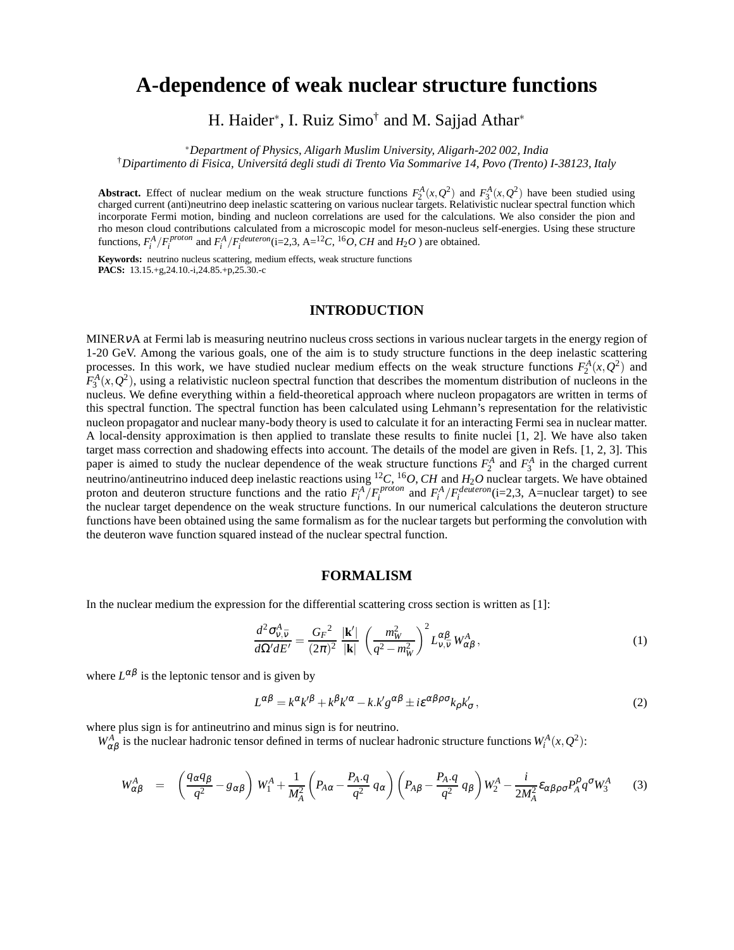# **A-dependence of weak nuclear structure functions**

H. Haider<sup>∗</sup>, I. Ruiz Simo<sup>†</sup> and M. Sajjad Athar<sup>∗</sup>

<sup>∗</sup>*Department of Physics, Aligarh Muslim University, Aligarh-202 002, India*

†*Dipartimento di Fisica, Universitá degli studi di Trento Via Sommarive 14, Povo (Trento) I-38123, Italy*

**Abstract.** Effect of nuclear medium on the weak structure functions  $F_2^A(x, Q^2)$  and  $F_3^A(x, Q^2)$  have been studied using charged current (anti)neutrino deep inelastic scattering on various nuclear targets. Relativistic nuclear spectral function which incorporate Fermi motion, binding and nucleon correlations are used for the calculations. We also consider the pion and rho meson cloud contributions calculated from a microscopic model for meson-nucleus self-energies. Using these structure functions,  $F_i^A / F_i^{proton}$  and  $F_i^A / F_i^{deuteron}$  (i=2,3, A=<sup>12</sup>C, <sup>16</sup>*O*, *CH* and *H*<sub>2</sub>*O* ) are obtained.

**Keywords:** neutrino nucleus scattering, medium effects, weak structure functions **PACS:** 13.15.+g,24.10.-i,24.85.+p,25.30.-c

### **INTRODUCTION**

MINERνA at Fermi lab is measuring neutrino nucleus cross sections in various nuclear targets in the energy region of 1-20 GeV. Among the various goals, one of the aim is to study structure functions in the deep inelastic scattering processes. In this work, we have studied nuclear medium effects on the weak structure functions  $F_2^A(x, Q^2)$  and  $F_3^A(x, Q^2)$ , using a relativistic nucleon spectral function that describes the momentum distribution of nucleons in the nucleus. We define everything within a field-theoretical approach where nucleon propagators are written in terms of this spectral function. The spectral function has been calculated using Lehmann's representation for the relativistic nucleon propagator and nuclear many-body theory is used to calculate it for an interacting Fermi sea in nuclear matter. A local-density approximation is then applied to translate these results to finite nuclei [1, 2]. We have also taken target mass correction and shadowing effects into account. The details of the model are given in Refs. [1, 2, 3]. This paper is aimed to study the nuclear dependence of the weak structure functions  $F_2^A$  and  $F_3^A$  in the charged current neutrino/antineutrino induced deep inelastic reactions using <sup>12</sup>*C*, <sup>16</sup>*O*, *CH* and *H*2*O* nuclear targets. We have obtained proton and deuteron structure functions and the ratio  $F_i^A/F_i^{proton}$  and  $F_i^A/F_i^{deuteron}$  (i=2,3, A=nuclear target) to see the nuclear target dependence on the weak structure functions. In our numerical calculations the deuteron structure functions have been obtained using the same formalism as for the nuclear targets but performing the convolution with the deuteron wave function squared instead of the nuclear spectral function.

#### **FORMALISM**

In the nuclear medium the expression for the differential scattering cross section is written as [1]:

$$
\frac{d^2 \sigma_{v,\bar{v}}^A}{d\Omega' dE'} = \frac{G_F^2}{(2\pi)^2} \frac{|\mathbf{k}'|}{|\mathbf{k}|} \left(\frac{m_W^2}{q^2 - m_W^2}\right)^2 L_{v,\bar{v}}^{\alpha\beta} W_{\alpha\beta}^A,
$$
\n(1)

where  $L^{\alpha\beta}$  is the leptonic tensor and is given by

$$
L^{\alpha\beta} = k^{\alpha}k^{\prime\beta} + k^{\beta}k^{\prime\alpha} - k.k^{\prime}g^{\alpha\beta} \pm i\epsilon^{\alpha\beta\rho\sigma}k_{\rho}k^{\prime}_{\sigma},\tag{2}
$$

where plus sign is for antineutrino and minus sign is for neutrino.

 $W_{\alpha\beta}^A$  is the nuclear hadronic tensor defined in terms of nuclear hadronic structure functions  $W_i^A(x, Q^2)$ :

$$
W_{\alpha\beta}^A = \left(\frac{q_{\alpha}q_{\beta}}{q^2} - g_{\alpha\beta}\right)W_1^A + \frac{1}{M_A^2}\left(P_{A\alpha} - \frac{P_A.q}{q^2}q_{\alpha}\right)\left(P_{A\beta} - \frac{P_A.q}{q^2}q_{\beta}\right)W_2^A - \frac{i}{2M_A^2}\varepsilon_{\alpha\beta\rho\sigma}P_A^{\rho}q^{\sigma}W_3^A\tag{3}
$$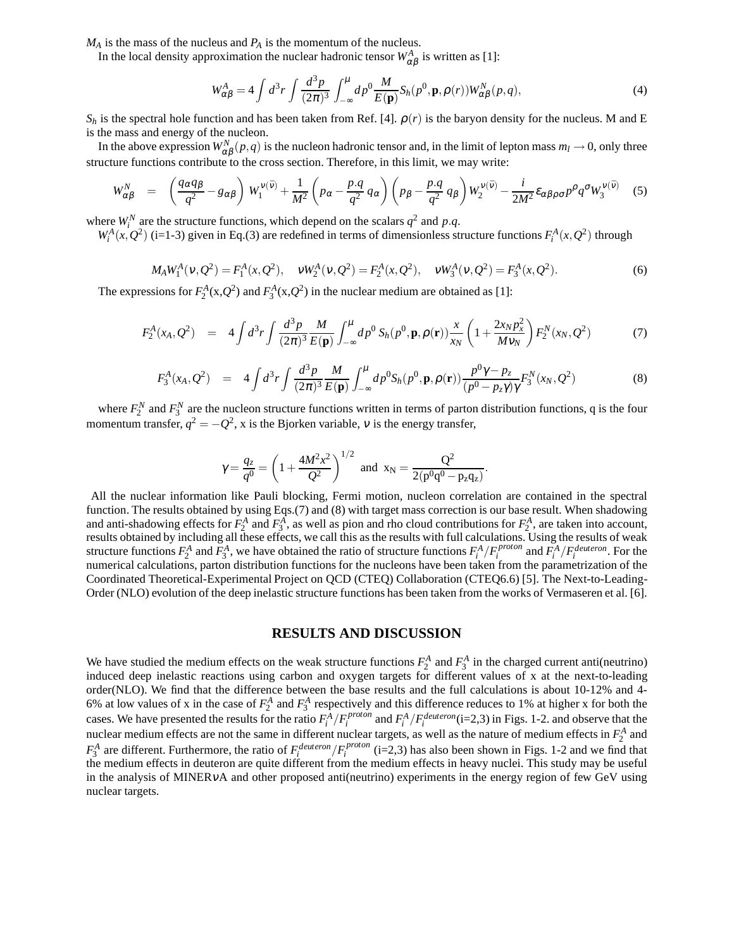*M<sup>A</sup>* is the mass of the nucleus and *P<sup>A</sup>* is the momentum of the nucleus.

In the local density approximation the nuclear hadronic tensor  $W_{\alpha\beta}^A$  is written as [1]:

$$
W_{\alpha\beta}^A = 4 \int d^3r \int \frac{d^3p}{(2\pi)^3} \int_{-\infty}^{\mu} dp^0 \frac{M}{E(\mathbf{p})} S_h(p^0, \mathbf{p}, \rho(r)) W_{\alpha\beta}^N(p, q), \tag{4}
$$

 $S_h$  is the spectral hole function and has been taken from Ref. [4].  $\rho(r)$  is the baryon density for the nucleus. M and E is the mass and energy of the nucleon.

In the above expression  $W_{\alpha\beta}^N(p,q)$  is the nucleon hadronic tensor and, in the limit of lepton mass  $m_l\to 0$ , only three structure functions contribute to the cross section. Therefore, in this limit, we may write:

$$
W_{\alpha\beta}^N = \left(\frac{q_{\alpha}q_{\beta}}{q^2} - g_{\alpha\beta}\right)W_1^{\nu(\bar{\nu})} + \frac{1}{M^2}\left(p_{\alpha} - \frac{p.q}{q^2}q_{\alpha}\right)\left(p_{\beta} - \frac{p.q}{q^2}q_{\beta}\right)W_2^{\nu(\bar{\nu})} - \frac{i}{2M^2}\varepsilon_{\alpha\beta\rho\sigma}p^{\rho}q^{\sigma}W_3^{\nu(\bar{\nu})} \tag{5}
$$

where  $W_i^N$  are the structure functions, which depend on the scalars  $q^2$  and p.q.

 $W_i^A(x, Q^2)$  (i=1-3) given in Eq.(3) are redefined in terms of dimensionless structure functions  $F_i^A(x, Q^2)$  through

$$
M_A W_1^A(\nu, Q^2) = F_1^A(x, Q^2), \quad \nu W_2^A(\nu, Q^2) = F_2^A(x, Q^2), \quad \nu W_3^A(\nu, Q^2) = F_3^A(x, Q^2).
$$
 (6)

The expressions for  $F_2^A(x,Q^2)$  and  $F_3^A(x,Q^2)$  in the nuclear medium are obtained as [1]:

$$
F_2^A(x_A, Q^2) = 4 \int d^3 r \int \frac{d^3 p}{(2\pi)^3} \frac{M}{E(\mathbf{p})} \int_{-\infty}^{\mu} dp^0 S_h(p^0, \mathbf{p}, \rho(\mathbf{r})) \frac{x}{x_N} \left(1 + \frac{2x_N p_x^2}{M v_N}\right) F_2^N(x_N, Q^2) \tag{7}
$$

$$
F_3^A(x_A, Q^2) = 4 \int d^3 r \int \frac{d^3 p}{(2\pi)^3} \frac{M}{E(\mathbf{p})} \int_{-\infty}^{\mu} dp^0 S_h(p^0, \mathbf{p}, \rho(\mathbf{r})) \frac{p^0 \gamma - p_z}{(p^0 - p_z \gamma) \gamma} F_3^N(x_N, Q^2)
$$
(8)

where  $F_2^N$  and  $F_3^N$  are the nucleon structure functions written in terms of parton distribution functions, q is the four momentum transfer,  $q^2 = -Q^2$ , x is the Bjorken variable, v is the energy transfer,

$$
\gamma = \frac{q_z}{q^0} = \left(1 + \frac{4M^2x^2}{Q^2}\right)^{1/2}
$$
 and  $x_N = \frac{Q^2}{2(p^0q^0 - p_zq_z)}$ .

All the nuclear information like Pauli blocking, Fermi motion, nucleon correlation are contained in the spectral function. The results obtained by using Eqs.(7) and (8) with target mass correction is our base result. When shadowing and anti-shadowing effects for  $F_2^A$  and  $F_3^A$ , as well as pion and rho cloud contributions for  $F_2^A$ , are taken into account, results obtained by including all these effects, we call this as the results with full calculations. Using the results of weak structure functions  $F_2^A$  and  $F_3^A$ , we have obtained the ratio of structure functions  $F_i^A/F_i^{proton}$  and  $F_i^A/F_i^{deuteron}$ . For the numerical calculations, parton distribution functions for the nucleons have been taken from the parametrization of the Coordinated Theoretical-Experimental Project on QCD (CTEQ) Collaboration (CTEQ6.6) [5]. The Next-to-Leading-Order (NLO) evolution of the deep inelastic structure functions has been taken from the works of Vermaseren et al. [6].

### **RESULTS AND DISCUSSION**

We have studied the medium effects on the weak structure functions  $F_2^A$  and  $F_3^A$  in the charged current anti(neutrino) induced deep inelastic reactions using carbon and oxygen targets for different values of x at the next-to-leading order(NLO). We find that the difference between the base results and the full calculations is about 10-12% and 4- 6% at low values of x in the case of  $F_2^A$  and  $F_3^A$  respectively and this difference reduces to 1% at higher x for both the cases. We have presented the results for the ratio  $F_i^A/F_i^{proton}$  and  $F_i^A/F_i^{deuteron}$  (i=2,3) in Figs. 1-2. and observe that the nuclear medium effects are not the same in different nuclear targets, as well as the nature of medium effects in  $F_2^A$  and  $F_3^A$  are different. Furthermore, the ratio of  $F_i^{deuteron}/F_i^{proton}$  (i=2,3) has also been shown in Figs. 1-2 and we find that the medium effects in deuteron are quite different from the medium effects in heavy nuclei. This study may be useful in the analysis of MINERνA and other proposed anti(neutrino) experiments in the energy region of few GeV using nuclear targets.